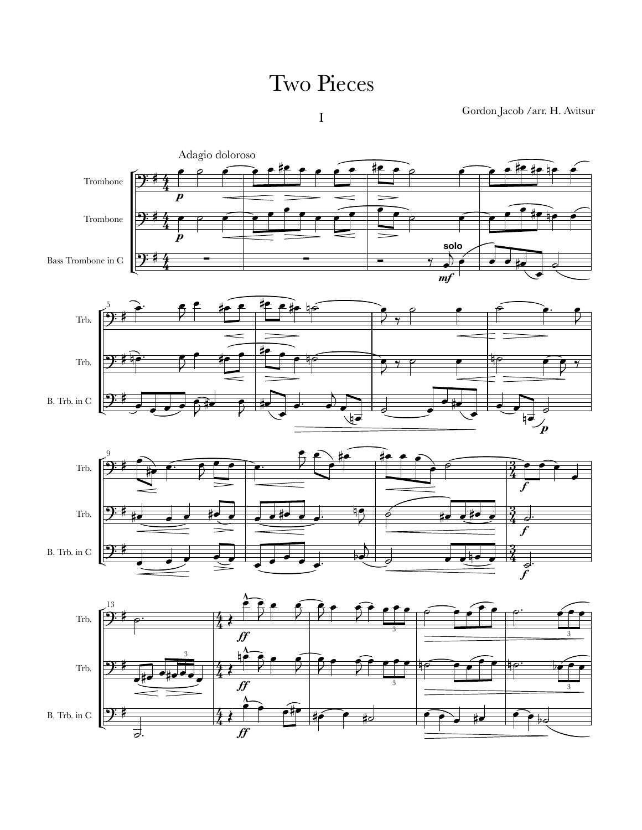Gordon Jacob / arr. H. Avitsur







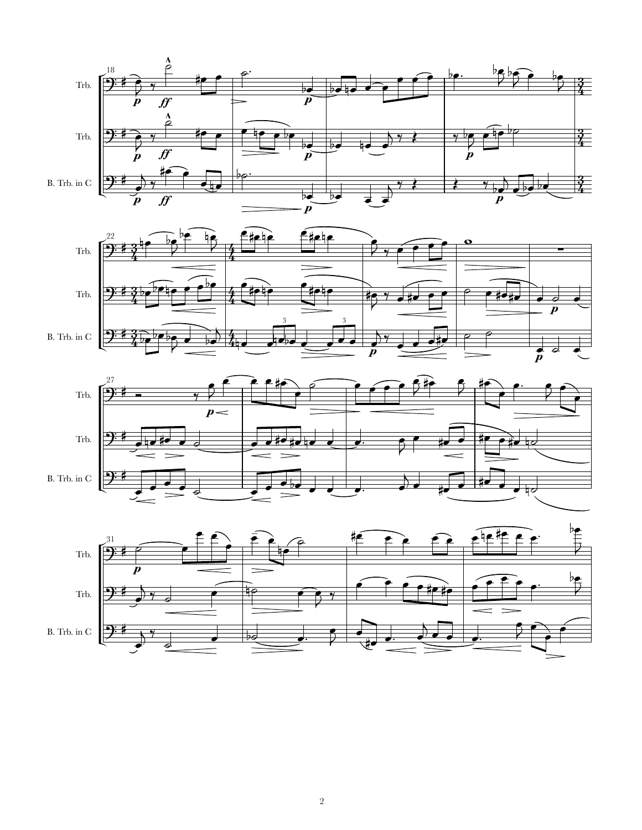







 $\overline{2}$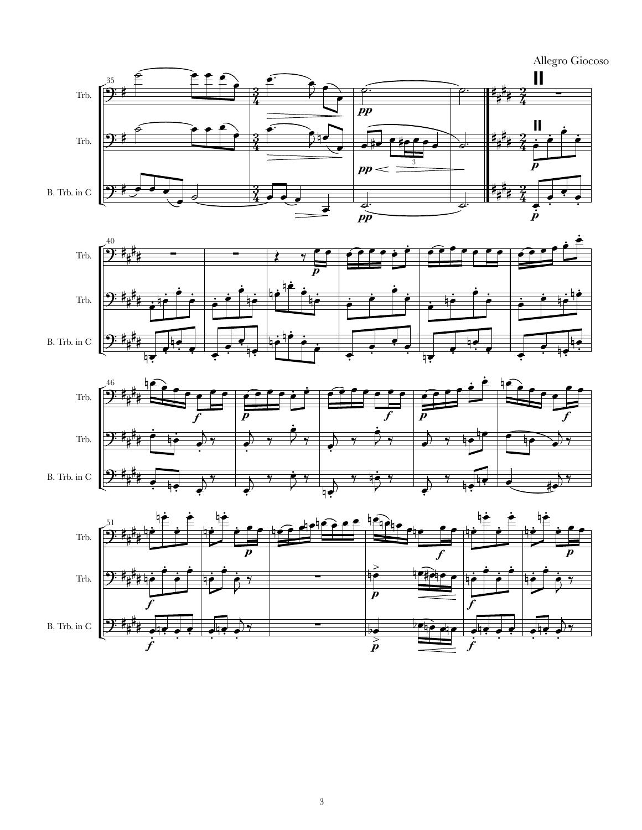







3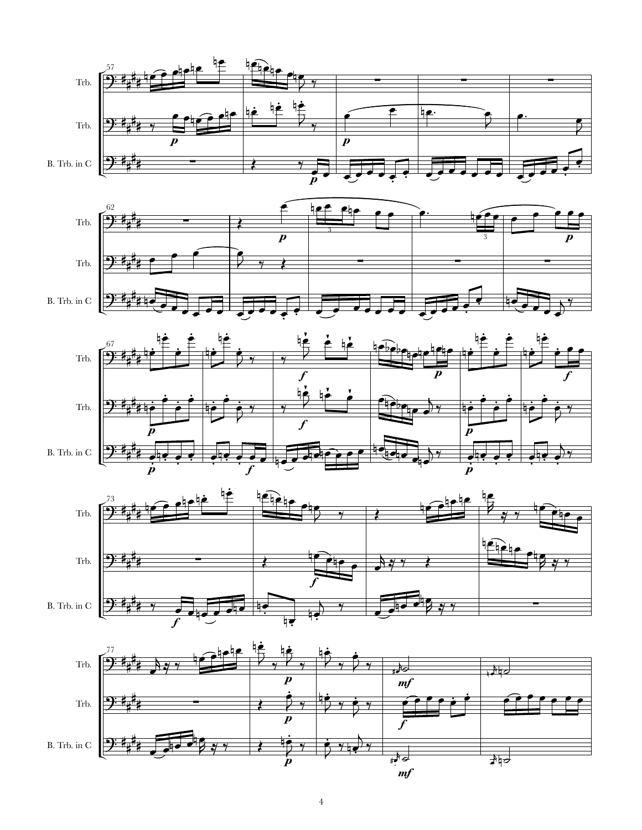







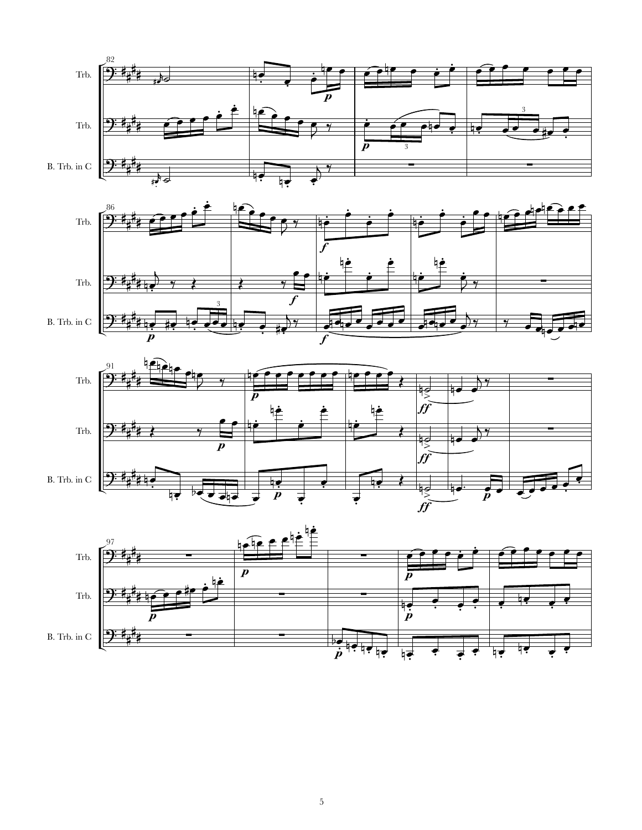





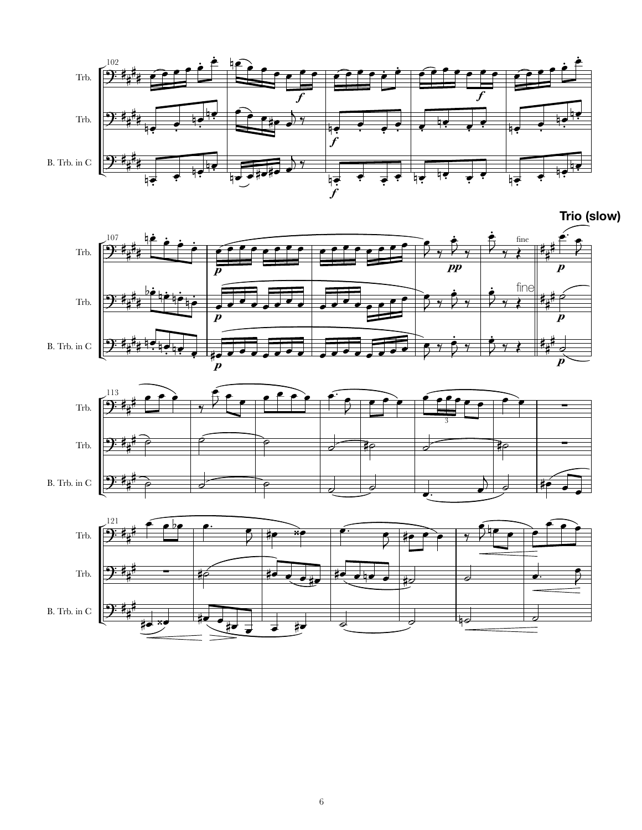







Trio (slow)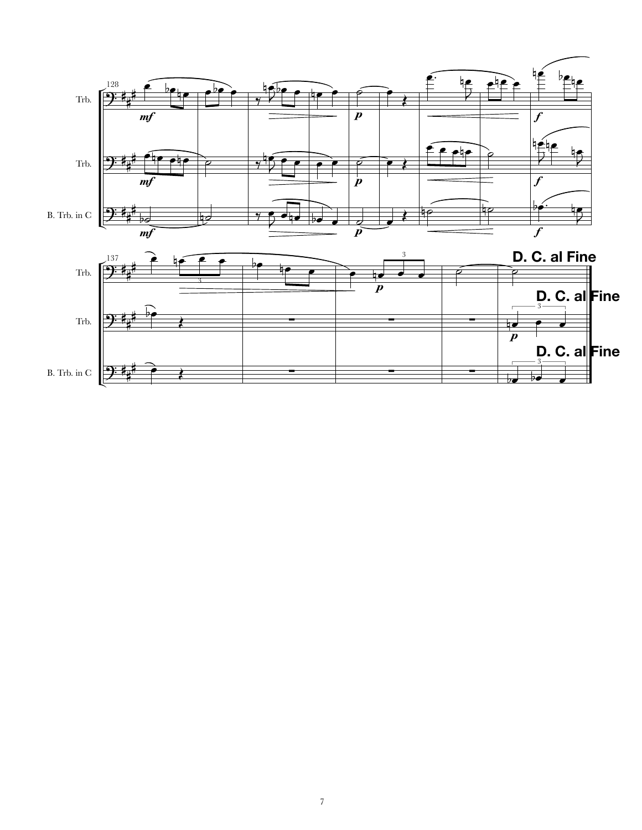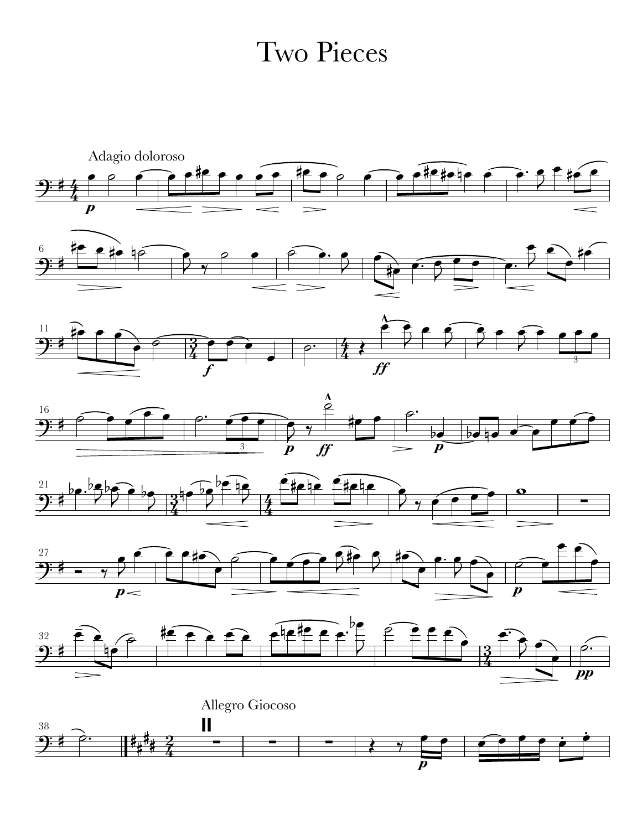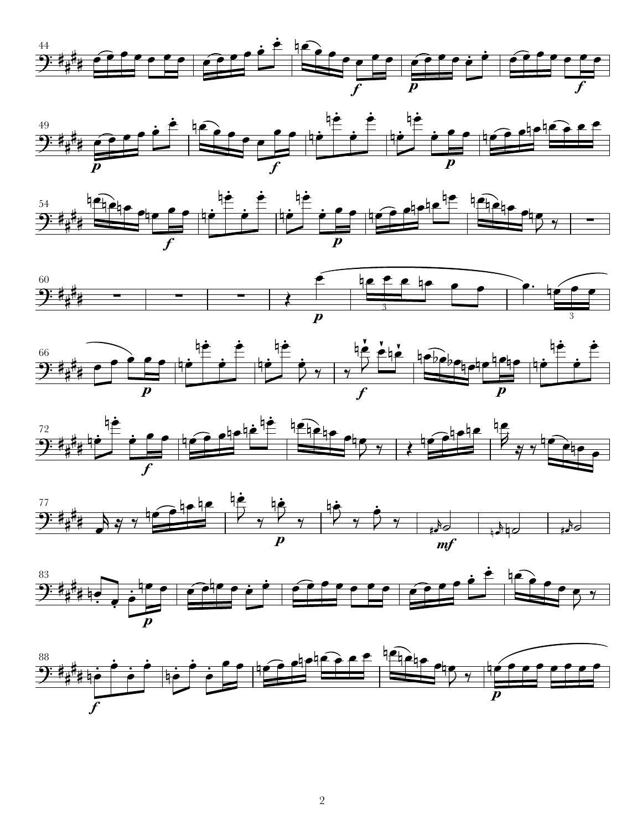















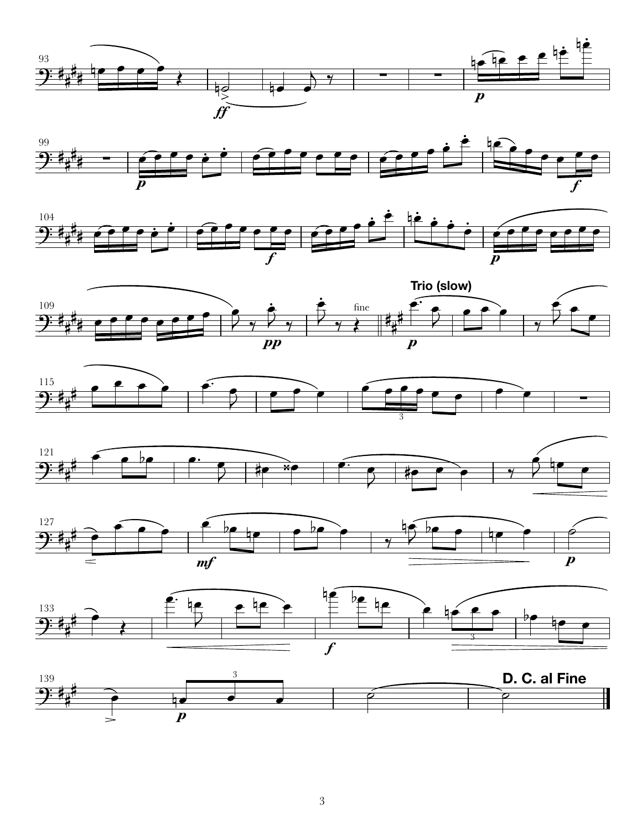















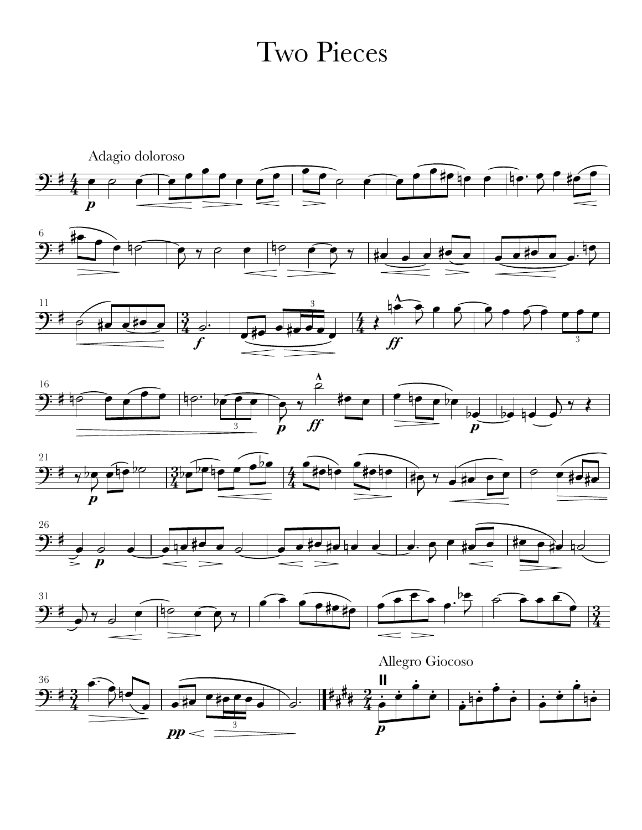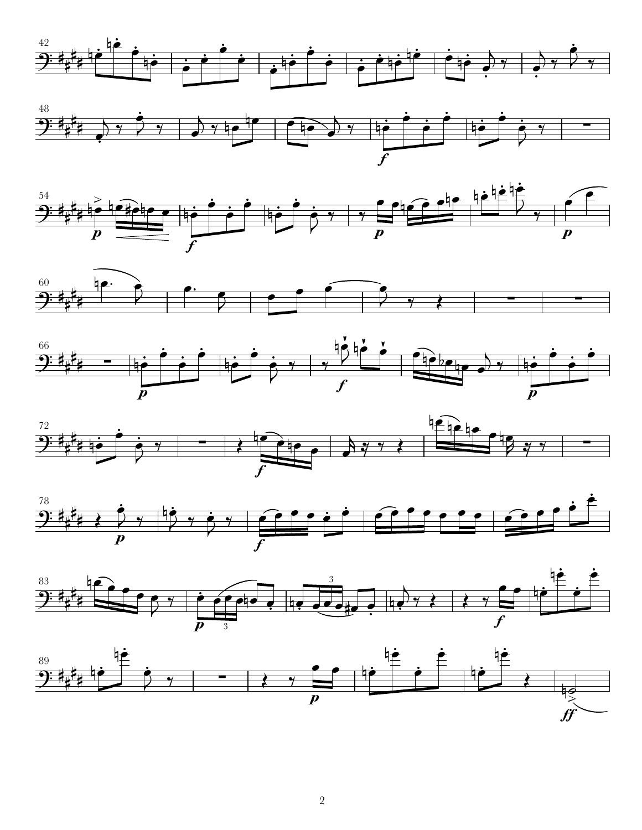















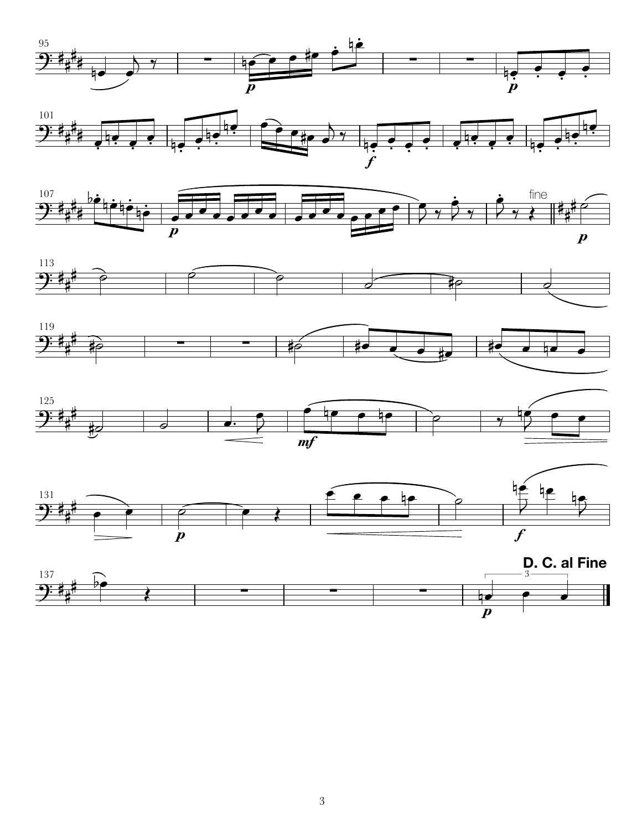













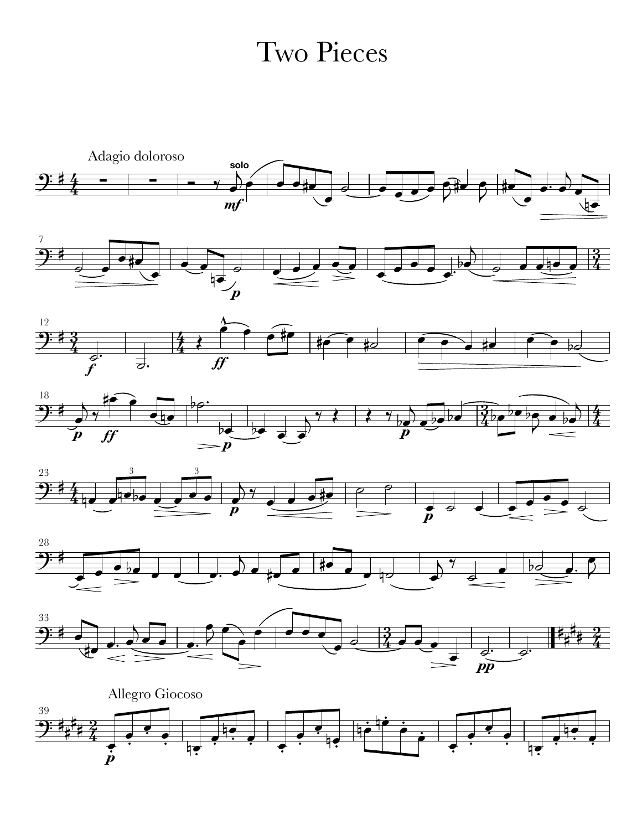

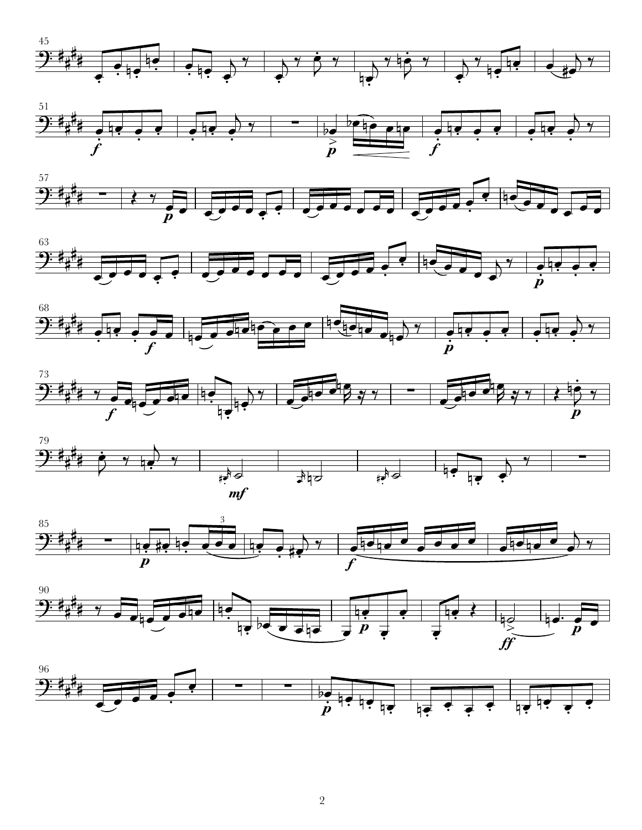